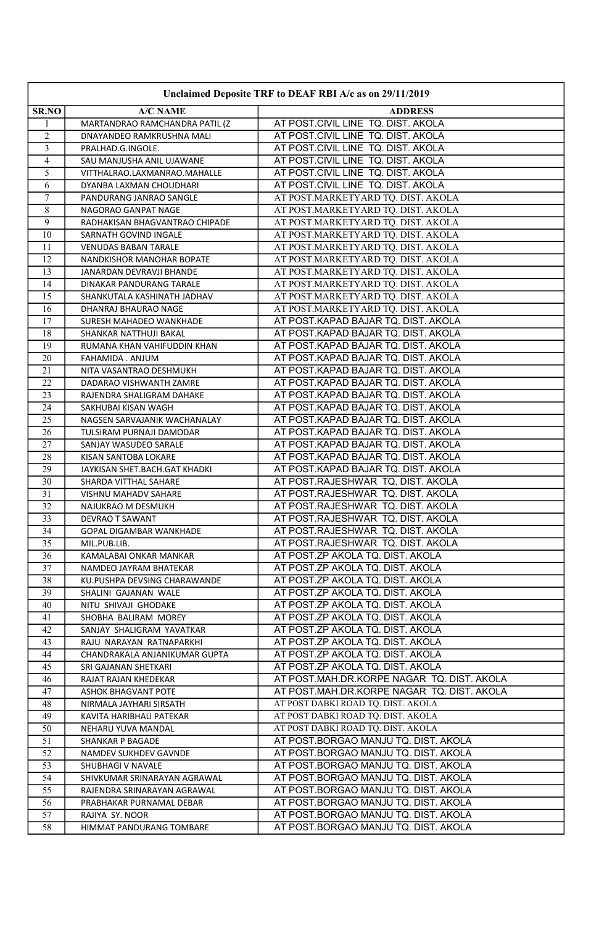| Unclaimed Deposite TRF to DEAF RBI A/c as on 29/11/2019 |                                                             |                                                                              |
|---------------------------------------------------------|-------------------------------------------------------------|------------------------------------------------------------------------------|
| SR.NO                                                   | A/C NAME                                                    | <b>ADDRESS</b>                                                               |
| 1                                                       | MARTANDRAO RAMCHANDRA PATIL (Z                              | AT POST.CIVIL LINE TQ. DIST. AKOLA                                           |
| 2                                                       | DNAYANDEO RAMKRUSHNA MALI                                   | AT POST.CIVIL LINE TQ. DIST. AKOLA                                           |
| 3                                                       | PRALHAD.G.INGOLE.                                           | AT POST.CIVIL LINE TQ. DIST. AKOLA                                           |
| $\overline{4}$                                          | SAU MANJUSHA ANIL UJAWANE                                   | AT POST.CIVIL LINE TQ. DIST. AKOLA                                           |
| 5                                                       | VITTHALRAO.LAXMANRAO.MAHALLE                                | AT POST.CIVIL LINE TQ. DIST. AKOLA                                           |
| 6                                                       | DYANBA LAXMAN CHOUDHARI                                     | AT POST.CIVIL LINE TQ. DIST. AKOLA                                           |
| $\overline{7}$                                          | PANDURANG JANRAO SANGLE                                     | AT POST.MARKETYARD TQ. DIST. AKOLA                                           |
| 8                                                       | NAGORAO GANPAT NAGE                                         | AT POST.MARKETYARD TQ. DIST. AKOLA                                           |
| $\mathbf{Q}$                                            | RADHAKISAN BHAGVANTRAO CHIPADE                              | AT POST.MARKETYARD TQ. DIST. AKOLA                                           |
| 10                                                      | SARNATH GOVIND INGALE                                       | AT POST.MARKETYARD TQ. DIST. AKOLA                                           |
| 11                                                      | VENUDAS BABAN TARALE                                        | AT POST.MARKETYARD TQ. DIST. AKOLA                                           |
| 12                                                      | NANDKISHOR MANOHAR BOPATE                                   | AT POST.MARKETYARD TQ. DIST. AKOLA                                           |
| 13                                                      | JANARDAN DEVRAVJI BHANDE                                    | AT POST.MARKETYARD TQ. DIST. AKOLA                                           |
| 14                                                      | DINAKAR PANDURANG TARALE                                    | AT POST.MARKETYARD TQ. DIST. AKOLA                                           |
| 15                                                      | SHANKUTALA KASHINATH JADHAV                                 | AT POST.MARKETYARD TQ. DIST. AKOLA                                           |
| 16                                                      | DHANRAJ BHAURAO NAGE                                        | AT POST.MARKETYARD TQ. DIST. AKOLA                                           |
| 17                                                      | SURESH MAHADEO WANKHADE                                     | AT POST.KAPAD BAJAR TQ. DIST. AKOLA                                          |
| 18                                                      | SHANKAR NATTHUJI BAKAL                                      | AT POST.KAPAD BAJAR TQ. DIST. AKOLA                                          |
| 19                                                      | RUMANA KHAN VAHIFUDDIN KHAN                                 | AT POST.KAPAD BAJAR TQ. DIST. AKOLA                                          |
| 20                                                      | FAHAMIDA . ANJUM                                            | AT POST.KAPAD BAJAR TQ. DIST. AKOLA                                          |
| 21                                                      | NITA VASANTRAO DESHMUKH                                     | AT POST.KAPAD BAJAR TQ. DIST. AKOLA                                          |
| $\overline{22}$                                         | DADARAO VISHWANTH ZAMRE                                     | AT POST.KAPAD BAJAR TQ. DIST. AKOLA                                          |
| 23<br>24                                                | RAJENDRA SHALIGRAM DAHAKE<br>SAKHUBAI KISAN WAGH            | AT POST.KAPAD BAJAR TQ. DIST. AKOLA<br>AT POST.KAPAD BAJAR TQ. DIST. AKOLA   |
| 25                                                      | NAGSEN SARVAJANIK WACHANALAY                                | AT POST.KAPAD BAJAR TQ. DIST. AKOLA                                          |
| 26                                                      | TULSIRAM PURNAJI DAMODAR                                    | AT POST.KAPAD BAJAR TQ. DIST. AKOLA                                          |
| 27                                                      | SANJAY WASUDEO SARALE                                       | AT POST.KAPAD BAJAR TQ. DIST. AKOLA                                          |
| 28                                                      | KISAN SANTOBA LOKARE                                        | AT POST.KAPAD BAJAR TQ. DIST. AKOLA                                          |
| 29                                                      | JAYKISAN SHET.BACH.GAT KHADKI                               | AT POST.KAPAD BAJAR TQ. DIST. AKOLA                                          |
| 30                                                      | SHARDA VITTHAL SAHARE                                       | AT POST.RAJESHWAR TQ. DIST. AKOLA                                            |
| 31                                                      | VISHNU MAHADV SAHARE                                        | AT POST.RAJESHWAR TQ. DIST. AKOLA                                            |
| 32                                                      | NAJUKRAO M DESMUKH                                          | AT POST.RAJESHWAR TQ. DIST. AKOLA                                            |
| 33                                                      | DEVRAO T SAWANT                                             | AT POST.RAJESHWAR TQ. DIST. AKOLA                                            |
| 34                                                      | GOPAL DIGAMBAR WANKHADE                                     | AT POST.RAJESHWAR TQ. DIST. AKOLA                                            |
| 35                                                      | MIL.PUB.LIB.                                                | AT POST.RAJESHWAR TQ. DIST. AKOLA                                            |
| 36                                                      | KAMALABAI ONKAR MANKAR                                      | AT POST.ZP AKOLA TQ. DIST. AKOLA                                             |
| 37                                                      | NAMDEO JAYRAM BHATEKAR                                      | AT POST.ZP AKOLA TQ. DIST. AKOLA                                             |
| 38                                                      | KU.PUSHPA DEVSING CHARAWANDE                                | AT POST.ZP AKOLA TQ. DIST. AKOLA                                             |
| 39                                                      | SHALINI GAJANAN WALE                                        | AT POST.ZP AKOLA TQ. DIST. AKOLA                                             |
| 40                                                      | NITU SHIVAJI GHODAKE                                        | AT POST.ZP AKOLA TQ. DIST. AKOLA                                             |
| 41                                                      | SHOBHA BALIRAM MOREY                                        | AT POST.ZP AKOLA TQ. DIST. AKOLA                                             |
| 42                                                      | SANJAY SHALIGRAM YAVATKAR                                   | AT POST.ZP AKOLA TQ. DIST. AKOLA                                             |
| 43                                                      | RAJU NARAYAN RATNAPARKHI                                    | AT POST.ZP AKOLA TQ. DIST. AKOLA                                             |
| 44                                                      | CHANDRAKALA ANJANIKUMAR GUPTA                               | AT POST.ZP AKOLA TQ. DIST. AKOLA                                             |
| 45                                                      | SRI GAJANAN SHETKARI                                        | AT POST.ZP AKOLA TQ. DIST. AKOLA                                             |
| 46                                                      | RAJAT RAJAN KHEDEKAR                                        | AT POST.MAH.DR.KORPE NAGAR TQ. DIST. AKOLA                                   |
| 47                                                      | ASHOK BHAGVANT POTE                                         | AT POST.MAH.DR.KORPE NAGAR TQ. DIST. AKOLA                                   |
| 48                                                      | NIRMALA JAYHARI SIRSATH                                     | AT POST DABKI ROAD TQ. DIST. AKOLA                                           |
| 49                                                      | KAVITA HARIBHAU PATEKAR                                     | AT POST DABKI ROAD TQ. DIST. AKOLA                                           |
| 50                                                      | NEHARU YUVA MANDAL                                          | AT POST DABKI ROAD TQ. DIST. AKOLA                                           |
| 51                                                      | <b>SHANKAR P BAGADE</b>                                     | AT POST.BORGAO MANJU TQ. DIST. AKOLA                                         |
| 52                                                      | NAMDEV SUKHDEV GAVNDE                                       | AT POST.BORGAO MANJU TQ. DIST. AKOLA                                         |
| 53<br>54                                                | SHUBHAGI V NAVALE                                           | AT POST.BORGAO MANJU TQ. DIST. AKOLA<br>AT POST.BORGAO MANJU TQ. DIST. AKOLA |
| 55                                                      | SHIVKUMAR SRINARAYAN AGRAWAL<br>RAJENDRA SRINARAYAN AGRAWAL | AT POST.BORGAO MANJU TQ. DIST. AKOLA                                         |
| 56                                                      | PRABHAKAR PURNAMAL DEBAR                                    | AT POST.BORGAO MANJU TQ. DIST. AKOLA                                         |
| 57                                                      | RAJIYA SY. NOOR                                             | AT POST.BORGAO MANJU TQ. DIST. AKOLA                                         |
| 58                                                      | HIMMAT PANDURANG TOMBARE                                    | AT POST.BORGAO MANJU TQ. DIST. AKOLA                                         |
|                                                         |                                                             |                                                                              |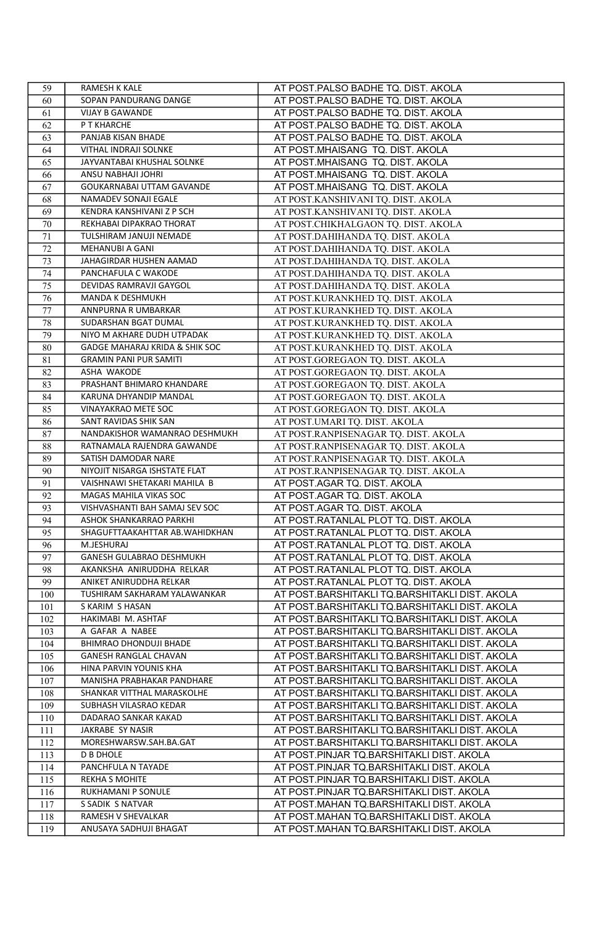| 59  | RAMESH K KALE                  | AT POST.PALSO BADHE TQ. DIST. AKOLA            |
|-----|--------------------------------|------------------------------------------------|
| 60  | SOPAN PANDURANG DANGE          | AT POST.PALSO BADHE TQ. DIST. AKOLA            |
| 61  | <b>VIJAY B GAWANDE</b>         | AT POST.PALSO BADHE TQ. DIST. AKOLA            |
| 62  | P T KHARCHE                    | AT POST.PALSO BADHE TQ. DIST. AKOLA            |
| 63  | PANJAB KISAN BHADE             | AT POST.PALSO BADHE TQ. DIST. AKOLA            |
| 64  | VITHAL INDRAJI SOLNKE          | AT POST.MHAISANG TQ. DIST. AKOLA               |
| 65  | JAYVANTABAI KHUSHAL SOLNKE     | AT POST.MHAISANG TQ. DIST. AKOLA               |
| 66  | ANSU NABHAJI JOHRI             | AT POST.MHAISANG TQ. DIST. AKOLA               |
| 67  | GOUKARNABAI UTTAM GAVANDE      | AT POST.MHAISANG TQ. DIST. AKOLA               |
| 68  | NAMADEV SONAJI EGALE           | AT POST.KANSHIVANI TQ. DIST. AKOLA             |
| 69  | KENDRA KANSHIVANI Z P SCH      | AT POST.KANSHIVANI TQ. DIST. AKOLA             |
| 70  | REKHABAI DIPAKRAO THORAT       | AT POST.CHIKHALGAON TO. DIST. AKOLA            |
| 71  | TULSHIRAM JANUJI NEMADE        | AT POST.DAHIHANDA TQ. DIST. AKOLA              |
| 72  | MEHANUBI A GANI                | AT POST.DAHIHANDA TQ. DIST. AKOLA              |
| 73  | JAHAGIRDAR HUSHEN AAMAD        | AT POST.DAHIHANDA TQ. DIST. AKOLA              |
| 74  | PANCHAFULA C WAKODE            | AT POST.DAHIHANDA TQ. DIST. AKOLA              |
| 75  | DEVIDAS RAMRAVJI GAYGOL        | AT POST.DAHIHANDA TQ. DIST. AKOLA              |
| 76  | MANDA K DESHMUKH               | AT POST.KURANKHED TQ. DIST. AKOLA              |
| 77  | ANNPURNA R UMBARKAR            | AT POST.KURANKHED TQ. DIST. AKOLA              |
| 78  | SUDARSHAN BGAT DUMAL           | AT POST.KURANKHED TQ. DIST. AKOLA              |
| 79  | NIYO M AKHARE DUDH UTPADAK     | AT POST.KURANKHED TQ. DIST. AKOLA              |
| 80  | GADGE MAHARAJ KRIDA & SHIK SOC | AT POST.KURANKHED TQ. DIST. AKOLA              |
| 81  | <b>GRAMIN PANI PUR SAMITI</b>  | AT POST.GOREGAON TQ. DIST. AKOLA               |
| 82  | ASHA WAKODE                    | AT POST.GOREGAON TQ. DIST. AKOLA               |
| 83  | PRASHANT BHIMARO KHANDARE      | AT POST.GOREGAON TQ. DIST. AKOLA               |
| 84  | KARUNA DHYANDIP MANDAL         | AT POST.GOREGAON TO. DIST. AKOLA               |
| 85  | <b>VINAYAKRAO METE SOC</b>     | AT POST.GOREGAON TQ. DIST. AKOLA               |
| 86  | SANT RAVIDAS SHIK SAN          | AT POST.UMARI TQ. DIST. AKOLA                  |
| 87  | NANDAKISHOR WAMANRAO DESHMUKH  | AT POST.RANPISENAGAR TQ. DIST. AKOLA           |
| 88  | RATNAMALA RAJENDRA GAWANDE     | AT POST.RANPISENAGAR TQ. DIST. AKOLA           |
| 89  | SATISH DAMODAR NARE            | AT POST.RANPISENAGAR TQ. DIST. AKOLA           |
| 90  | NIYOJIT NISARGA ISHSTATE FLAT  | AT POST.RANPISENAGAR TO. DIST. AKOLA           |
| 91  | VAISHNAWI SHETAKARI MAHILA B   | AT POST.AGAR TQ. DIST. AKOLA                   |
| 92  | MAGAS MAHILA VIKAS SOC         | AT POST.AGAR TQ. DIST. AKOLA                   |
| 93  | VISHVASHANTI BAH SAMAJ SEV SOC | AT POST.AGAR TQ. DIST. AKOLA                   |
| 94  | ASHOK SHANKARRAO PARKHI        | AT POST.RATANLAL PLOT TQ. DIST. AKOLA          |
| 95  | SHAGUFTTAAKAHTTAR AB.WAHIDKHAN | AT POST.RATANLAL PLOT TQ. DIST. AKOLA          |
| 96  | M.JESHURAJ                     | AT POST.RATANLAL PLOT TQ. DIST. AKOLA          |
| 97  | GANESH GULABRAO DESHMUKH       | AT POST.RATANLAL PLOT TQ. DIST. AKOLA          |
| 98  | AKANKSHA ANIRUDDHA RELKAR      | AT POST.RATANLAL PLOT TQ. DIST. AKOLA          |
| 99  | ANIKET ANIRUDDHA RELKAR        | AT POST.RATANLAL PLOT TQ. DIST. AKOLA          |
| 100 | TUSHIRAM SAKHARAM YALAWANKAR   | AT POST.BARSHITAKLI TQ.BARSHITAKLI DIST. AKOLA |
| 101 | S KARIM S HASAN                | AT POST.BARSHITAKLI TQ.BARSHITAKLI DIST. AKOLA |
| 102 | HAKIMABI M. ASHTAF             | AT POST.BARSHITAKLI TQ.BARSHITAKLI DIST. AKOLA |
| 103 | A GAFAR A NABEE                | AT POST.BARSHITAKLI TQ.BARSHITAKLI DIST. AKOLA |
| 104 | BHIMRAO DHONDUJI BHADE         | AT POST.BARSHITAKLI TQ.BARSHITAKLI DIST. AKOLA |
| 105 | GANESH RANGLAL CHAVAN          | AT POST.BARSHITAKLI TQ.BARSHITAKLI DIST. AKOLA |
| 106 | HINA PARVIN YOUNIS KHA         | AT POST.BARSHITAKLI TQ.BARSHITAKLI DIST. AKOLA |
| 107 | MANISHA PRABHAKAR PANDHARE     | AT POST.BARSHITAKLI TQ.BARSHITAKLI DIST. AKOLA |
| 108 | SHANKAR VITTHAL MARASKOLHE     | AT POST.BARSHITAKLI TQ.BARSHITAKLI DIST. AKOLA |
| 109 | SUBHASH VILASRAO KEDAR         | AT POST.BARSHITAKLI TQ.BARSHITAKLI DIST. AKOLA |
| 110 | DADARAO SANKAR KAKAD           | AT POST.BARSHITAKLI TQ.BARSHITAKLI DIST. AKOLA |
| 111 | JAKRABE SY NASIR               | AT POST.BARSHITAKLI TQ.BARSHITAKLI DIST. AKOLA |
| 112 | MORESHWARSW.SAH.BA.GAT         | AT POST.BARSHITAKLI TQ.BARSHITAKLI DIST. AKOLA |
| 113 | <b>D B DHOLE</b>               | AT POST.PINJAR TQ.BARSHITAKLI DIST. AKOLA      |
| 114 | PANCHFULA N TAYADE             | AT POST.PINJAR TQ.BARSHITAKLI DIST. AKOLA      |
| 115 | <b>REKHA S MOHITE</b>          | AT POST.PINJAR TQ.BARSHITAKLI DIST. AKOLA      |
| 116 | RUKHAMANI P SONULE             | AT POST.PINJAR TQ.BARSHITAKLI DIST. AKOLA      |
| 117 | S SADIK S NATVAR               | AT POST.MAHAN TQ.BARSHITAKLI DIST. AKOLA       |
| 118 | RAMESH V SHEVALKAR             | AT POST.MAHAN TQ.BARSHITAKLI DIST. AKOLA       |
| 119 |                                | AT POST.MAHAN TQ.BARSHITAKLI DIST. AKOLA       |
|     | ANUSAYA SADHUJI BHAGAT         |                                                |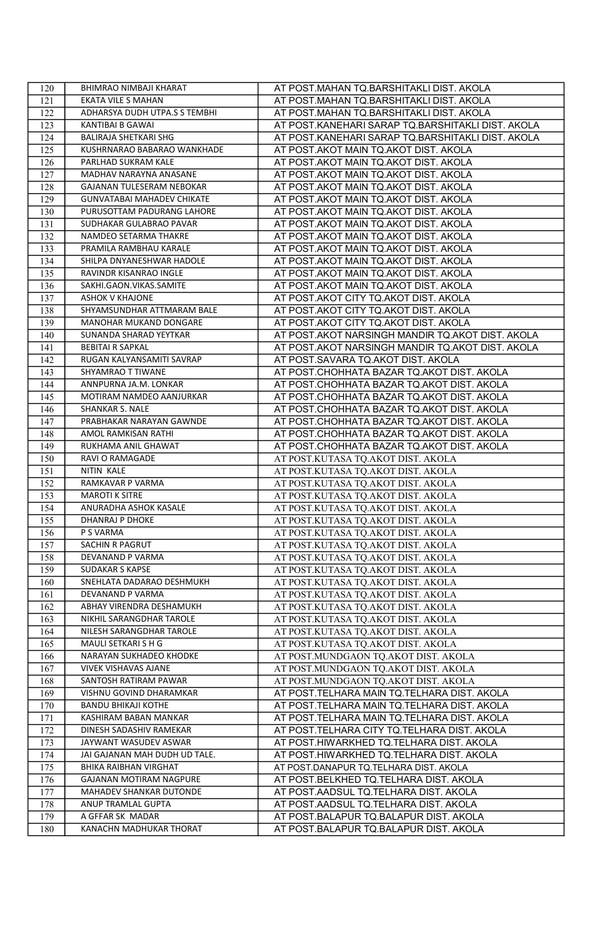| 120 | BHIMRAO NIMBAJI KHARAT            | AT POST.MAHAN TQ.BARSHITAKLI DIST. AKOLA          |
|-----|-----------------------------------|---------------------------------------------------|
| 121 | EKATA VILE S MAHAN                | AT POST.MAHAN TQ.BARSHITAKLI DIST. AKOLA          |
| 122 | ADHARSYA DUDH UTPA.S S TEMBHI     | AT POST.MAHAN TQ.BARSHITAKLI DIST. AKOLA          |
| 123 | <b>KANTIBAI B GAWAI</b>           | AT POST.KANEHARI SARAP TQ.BARSHITAKLI DIST. AKOLA |
| 124 | BALIRAJA SHETKARI SHG             | AT POST.KANEHARI SARAP TQ.BARSHITAKLI DIST. AKOLA |
| 125 | KUSHRNARAO BABARAO WANKHADE       | AT POST.AKOT MAIN TQ.AKOT DIST. AKOLA             |
| 126 | PARLHAD SUKRAM KALE               | AT POST.AKOT MAIN TQ.AKOT DIST. AKOLA             |
| 127 | MADHAV NARAYNA ANASANE            | AT POST.AKOT MAIN TQ.AKOT DIST. AKOLA             |
| 128 | GAJANAN TULESERAM NEBOKAR         | AT POST.AKOT MAIN TQ.AKOT DIST. AKOLA             |
| 129 | <b>GUNVATABAI MAHADEV CHIKATE</b> | AT POST.AKOT MAIN TQ.AKOT DIST. AKOLA             |
| 130 | PURUSOTTAM PADURANG LAHORE        | AT POST.AKOT MAIN TQ.AKOT DIST. AKOLA             |
| 131 | SUDHAKAR GULABRAO PAVAR           | AT POST.AKOT MAIN TQ.AKOT DIST. AKOLA             |
| 132 | NAMDEO SETARMA THAKRE             | AT POST.AKOT MAIN TQ.AKOT DIST. AKOLA             |
| 133 | PRAMILA RAMBHAU KARALE            | AT POST.AKOT MAIN TQ.AKOT DIST. AKOLA             |
| 134 | SHILPA DNYANESHWAR HADOLE         | AT POST.AKOT MAIN TQ.AKOT DIST. AKOLA             |
| 135 | RAVINDR KISANRAO INGLE            | AT POST.AKOT MAIN TQ.AKOT DIST. AKOLA             |
| 136 | SAKHI.GAON.VIKAS.SAMITE           | AT POST.AKOT MAIN TQ.AKOT DIST. AKOLA             |
| 137 | <b>ASHOK V KHAJONE</b>            | AT POST.AKOT CITY TQ.AKOT DIST. AKOLA             |
| 138 | SHYAMSUNDHAR ATTMARAM BALE        | AT POST.AKOT CITY TQ.AKOT DIST. AKOLA             |
| 139 | MANOHAR MUKAND DONGARE            | AT POST.AKOT CITY TQ.AKOT DIST. AKOLA             |
| 140 | SUNANDA SHARAD YEYTKAR            | AT POST.AKOT NARSINGH MANDIR TQ.AKOT DIST. AKOLA  |
| 141 | <b>BEBITAI R SAPKAL</b>           | AT POST.AKOT NARSINGH MANDIR TQ.AKOT DIST. AKOLA  |
| 142 | RUGAN KALYANSAMITI SAVRAP         | AT POST.SAVARA TQ.AKOT DIST. AKOLA                |
| 143 | SHYAMRAO T TIWANE                 | AT POST.CHOHHATA BAZAR TQ.AKOT DIST. AKOLA        |
| 144 | ANNPURNA JA.M. LONKAR             | AT POST.CHOHHATA BAZAR TQ.AKOT DIST. AKOLA        |
| 145 | MOTIRAM NAMDEO AANJURKAR          | AT POST.CHOHHATA BAZAR TQ.AKOT DIST. AKOLA        |
| 146 | SHANKAR S. NALE                   | AT POST.CHOHHATA BAZAR TQ.AKOT DIST. AKOLA        |
| 147 | PRABHAKAR NARAYAN GAWNDE          | AT POST.CHOHHATA BAZAR TQ.AKOT DIST. AKOLA        |
| 148 | AMOL RAMKISAN RATHI               | AT POST.CHOHHATA BAZAR TQ.AKOT DIST. AKOLA        |
| 149 | RUKHAMA ANIL GHAWAT               | AT POST.CHOHHATA BAZAR TQ.AKOT DIST. AKOLA        |
| 150 | RAVI O RAMAGADE                   | AT POST.KUTASA TQ.AKOT DIST. AKOLA                |
| 151 | NITIN KALE                        | AT POST.KUTASA TQ.AKOT DIST. AKOLA                |
| 152 | RAMKAVAR P VARMA                  | AT POST.KUTASA TO.AKOT DIST. AKOLA                |
| 153 | <b>MAROTI K SITRE</b>             | AT POST.KUTASA TQ.AKOT DIST. AKOLA                |
| 154 | ANURADHA ASHOK KASALE             | AT POST.KUTASA TQ.AKOT DIST. AKOLA                |
| 155 | DHANRAJ P DHOKE                   | AT POST.KUTASA TQ.AKOT DIST. AKOLA                |
| 156 | P S VARMA                         | AT POST.KUTASA TQ.AKOT DIST. AKOLA                |
| 157 | SACHIN R PAGRUT                   | AT POST.KUTASA TQ.AKOT DIST. AKOLA                |
| 158 | DEVANAND P VARMA                  | AT POST.KUTASA TQ.AKOT DIST. AKOLA                |
| 159 | <b>SUDAKAR S KAPSE</b>            | AT POST.KUTASA TQ.AKOT DIST. AKOLA                |
| 160 | SNEHLATA DADARAO DESHMUKH         | AT POST.KUTASA TQ.AKOT DIST. AKOLA                |
| 161 | DEVANAND P VARMA                  | AT POST.KUTASA TQ.AKOT DIST. AKOLA                |
| 162 | ABHAY VIRENDRA DESHAMUKH          | AT POST.KUTASA TQ.AKOT DIST. AKOLA                |
| 163 | NIKHIL SARANGDHAR TAROLE          | AT POST.KUTASA TQ.AKOT DIST. AKOLA                |
| 164 | NILESH SARANGDHAR TAROLE          | AT POST.KUTASA TQ.AKOT DIST. AKOLA                |
| 165 | MAULI SETKARI S H G               | AT POST.KUTASA TQ.AKOT DIST. AKOLA                |
| 166 | NARAYAN SUKHADEO KHODKE           | AT POST.MUNDGAON TO.AKOT DIST. AKOLA              |
| 167 | VIVEK VISHAVAS AJANE              | AT POST.MUNDGAON TQ.AKOT DIST. AKOLA              |
| 168 | SANTOSH RATIRAM PAWAR             | AT POST.MUNDGAON TQ.AKOT DIST. AKOLA              |
| 169 | VISHNU GOVIND DHARAMKAR           | AT POST.TELHARA MAIN TQ.TELHARA DIST. AKOLA       |
| 170 | <b>BANDU BHIKAJI KOTHE</b>        | AT POST.TELHARA MAIN TQ.TELHARA DIST. AKOLA       |
| 171 | KASHIRAM BABAN MANKAR             | AT POST.TELHARA MAIN TQ.TELHARA DIST. AKOLA       |
| 172 | DINESH SADASHIV RAMEKAR           | AT POST.TELHARA CITY TO.TELHARA DIST. AKOLA       |
| 173 | JAYWANT WASUDEV ASWAR             | AT POST.HIWARKHED TQ.TELHARA DIST. AKOLA          |
| 174 | JAI GAJANAN MAH DUDH UD TALE.     | AT POST.HIWARKHED TQ.TELHARA DIST. AKOLA          |
| 175 | <b>BHIKA RAIBHAN VIRGHAT</b>      | AT POST.DANAPUR TQ.TELHARA DIST. AKOLA            |
| 176 | GAJANAN MOTIRAM NAGPURE           | AT POST.BELKHED TQ.TELHARA DIST. AKOLA            |
| 177 | <b>MAHADEV SHANKAR DUTONDE</b>    | AT POST.AADSUL TQ.TELHARA DIST. AKOLA             |
| 178 | ANUP TRAMLAL GUPTA                | AT POST.AADSUL TQ.TELHARA DIST. AKOLA             |
| 179 | A GFFAR SK MADAR                  | AT POST.BALAPUR TQ.BALAPUR DIST. AKOLA            |
| 180 | KANACHN MADHUKAR THORAT           | AT POST.BALAPUR TQ.BALAPUR DIST. AKOLA            |
|     |                                   |                                                   |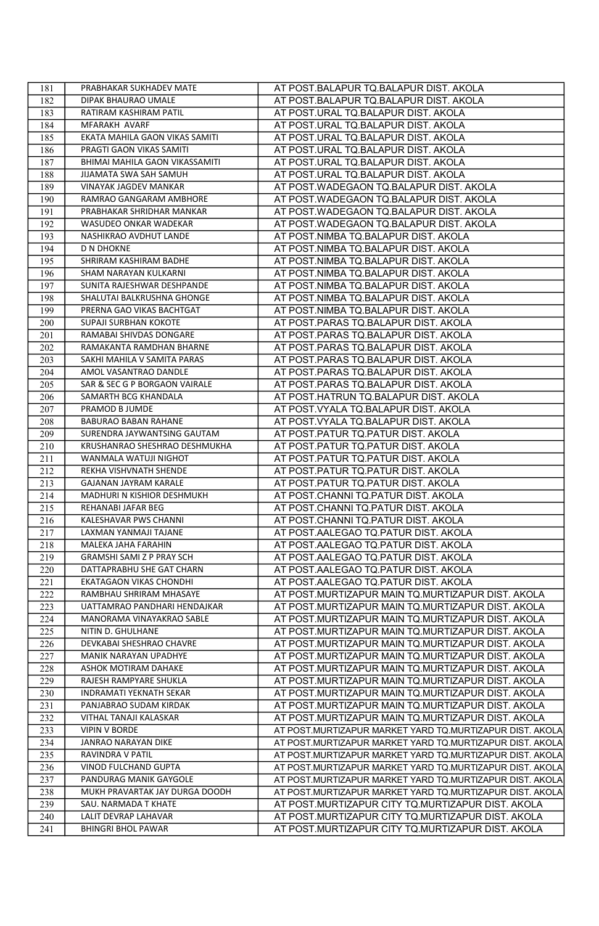| 181 | PRABHAKAR SUKHADEV MATE        | AT POST.BALAPUR TQ.BALAPUR DIST. AKOLA                   |
|-----|--------------------------------|----------------------------------------------------------|
| 182 | DIPAK BHAURAO UMALE            | AT POST.BALAPUR TQ.BALAPUR DIST. AKOLA                   |
| 183 | RATIRAM KASHIRAM PATIL         | AT POST.URAL TQ.BALAPUR DIST. AKOLA                      |
| 184 | MFARAKH AVARF                  | AT POST.URAL TQ.BALAPUR DIST. AKOLA                      |
| 185 | EKATA MAHILA GAON VIKAS SAMITI | AT POST.URAL TQ.BALAPUR DIST. AKOLA                      |
| 186 | PRAGTI GAON VIKAS SAMITI       | AT POST.URAL TQ.BALAPUR DIST. AKOLA                      |
| 187 | BHIMAI MAHILA GAON VIKASSAMITI | AT POST.URAL TQ.BALAPUR DIST. AKOLA                      |
| 188 | JIJAMATA SWA SAH SAMUH         | AT POST.URAL TQ.BALAPUR DIST. AKOLA                      |
| 189 | VINAYAK JAGDEV MANKAR          | AT POST.WADEGAON TQ.BALAPUR DIST. AKOLA                  |
| 190 | RAMRAO GANGARAM AMBHORE        | AT POST.WADEGAON TQ.BALAPUR DIST. AKOLA                  |
| 191 | PRABHAKAR SHRIDHAR MANKAR      | AT POST.WADEGAON TQ.BALAPUR DIST. AKOLA                  |
| 192 | WASUDEO ONKAR WADEKAR          | AT POST.WADEGAON TQ.BALAPUR DIST. AKOLA                  |
| 193 | NASHIKRAO AVDHUT LANDE         | AT POST.NIMBA TQ.BALAPUR DIST. AKOLA                     |
| 194 | <b>D N DHOKNE</b>              | AT POST.NIMBA TQ.BALAPUR DIST. AKOLA                     |
| 195 | SHRIRAM KASHIRAM BADHE         | AT POST.NIMBA TQ.BALAPUR DIST. AKOLA                     |
| 196 | SHAM NARAYAN KULKARNI          | AT POST.NIMBA TQ.BALAPUR DIST. AKOLA                     |
| 197 | SUNITA RAJESHWAR DESHPANDE     | AT POST.NIMBA TQ.BALAPUR DIST. AKOLA                     |
| 198 | SHALUTAI BALKRUSHNA GHONGE     | AT POST.NIMBA TQ.BALAPUR DIST. AKOLA                     |
| 199 | PRERNA GAO VIKAS BACHTGAT      | AT POST.NIMBA TQ.BALAPUR DIST. AKOLA                     |
| 200 | SUPAJI SURBHAN KOKOTE          | AT POST.PARAS TQ.BALAPUR DIST. AKOLA                     |
| 201 | RAMABAI SHIVDAS DONGARE        | AT POST.PARAS TQ.BALAPUR DIST. AKOLA                     |
| 202 | RAMAKANTA RAMDHAN BHARNE       | AT POST.PARAS TQ.BALAPUR DIST. AKOLA                     |
| 203 | SAKHI MAHILA V SAMITA PARAS    | AT POST.PARAS TQ.BALAPUR DIST. AKOLA                     |
| 204 | AMOL VASANTRAO DANDLE          | AT POST.PARAS TQ.BALAPUR DIST. AKOLA                     |
| 205 | SAR & SEC G P BORGAON VAIRALE  | AT POST.PARAS TQ.BALAPUR DIST. AKOLA                     |
| 206 | SAMARTH BCG KHANDALA           | AT POST.HATRUN TQ.BALAPUR DIST. AKOLA                    |
| 207 | PRAMOD B JUMDE                 | AT POST.VYALA TQ.BALAPUR DIST. AKOLA                     |
| 208 | BABURAO BABAN RAHANE           | AT POST.VYALA TQ.BALAPUR DIST. AKOLA                     |
| 209 | SURENDRA JAYWANTSING GAUTAM    | AT POST.PATUR TQ.PATUR DIST. AKOLA                       |
| 210 | KRUSHANRAO SHESHRAO DESHMUKHA  | AT POST.PATUR TQ.PATUR DIST. AKOLA                       |
| 211 | WANMALA WATUJI NIGHOT          | AT POST.PATUR TQ.PATUR DIST. AKOLA                       |
| 212 | REKHA VISHVNATH SHENDE         | AT POST.PATUR TQ.PATUR DIST. AKOLA                       |
| 213 | GAJANAN JAYRAM KARALE          | AT POST.PATUR TQ.PATUR DIST. AKOLA                       |
| 214 | MADHURI N KISHIOR DESHMUKH     | AT POST.CHANNI TQ.PATUR DIST. AKOLA                      |
| 215 | REHANABI JAFAR BEG             | AT POST.CHANNI TQ.PATUR DIST. AKOLA                      |
| 216 | KALESHAVAR PWS CHANNI          | AT POST.CHANNI TQ.PATUR DIST. AKOLA                      |
| 217 | LAXMAN YANMAJI TAJANE          | AT POST.AALEGAO TQ.PATUR DIST. AKOLA                     |
| 218 | MALEKA JAHA FARAHIN            | AT POST.AALEGAO TQ.PATUR DIST. AKOLA                     |
| 219 | GRAMSHI SAMI Z P PRAY SCH      | AT POST.AALEGAO TQ.PATUR DIST. AKOLA                     |
| 220 | DATTAPRABHU SHE GAT CHARN      | AT POST.AALEGAO TQ.PATUR DIST. AKOLA                     |
| 221 | EKATAGAON VIKAS CHONDHI        | AT POST.AALEGAO TQ.PATUR DIST. AKOLA                     |
| 222 | RAMBHAU SHRIRAM MHASAYE        | AT POST.MURTIZAPUR MAIN TQ.MURTIZAPUR DIST. AKOLA        |
| 223 | UATTAMRAO PANDHARI HENDAJKAR   | AT POST.MURTIZAPUR MAIN TQ.MURTIZAPUR DIST. AKOLA        |
| 224 | MANORAMA VINAYAKRAO SABLE      | AT POST.MURTIZAPUR MAIN TQ.MURTIZAPUR DIST. AKOLA        |
| 225 | NITIN D. GHULHANE              | AT POST.MURTIZAPUR MAIN TQ.MURTIZAPUR DIST. AKOLA        |
| 226 | DEVKABAI SHESHRAO CHAVRE       | AT POST.MURTIZAPUR MAIN TQ.MURTIZAPUR DIST. AKOLA        |
| 227 | MANIK NARAYAN UPADHYE          | AT POST.MURTIZAPUR MAIN TQ.MURTIZAPUR DIST. AKOLA        |
| 228 | ASHOK MOTIRAM DAHAKE           | AT POST.MURTIZAPUR MAIN TQ.MURTIZAPUR DIST. AKOLA        |
| 229 | RAJESH RAMPYARE SHUKLA         | AT POST.MURTIZAPUR MAIN TQ.MURTIZAPUR DIST. AKOLA        |
| 230 | <b>INDRAMATI YEKNATH SEKAR</b> | AT POST.MURTIZAPUR MAIN TQ.MURTIZAPUR DIST. AKOLA        |
| 231 | PANJABRAO SUDAM KIRDAK         | AT POST.MURTIZAPUR MAIN TQ.MURTIZAPUR DIST. AKOLA        |
| 232 | <b>VITHAL TANAJI KALASKAR</b>  | AT POST.MURTIZAPUR MAIN TQ.MURTIZAPUR DIST. AKOLA        |
| 233 | <b>VIPIN V BORDE</b>           | AT POST.MURTIZAPUR MARKET YARD TQ.MURTIZAPUR DIST. AKOLA |
| 234 | JANRAO NARAYAN DIKE            | AT POST.MURTIZAPUR MARKET YARD TQ.MURTIZAPUR DIST. AKOLA |
| 235 | RAVINDRA V PATIL               | AT POST.MURTIZAPUR MARKET YARD TO.MURTIZAPUR DIST. AKOLA |
| 236 | VINOD FULCHAND GUPTA           | AT POST.MURTIZAPUR MARKET YARD TQ.MURTIZAPUR DIST. AKOLA |
| 237 | PANDURAG MANIK GAYGOLE         | AT POST.MURTIZAPUR MARKET YARD TQ.MURTIZAPUR DIST. AKOLA |
| 238 | MUKH PRAVARTAK JAY DURGA DOODH | AT POST.MURTIZAPUR MARKET YARD TQ.MURTIZAPUR DIST. AKOLA |
| 239 | SAU. NARMADA T KHATE           | AT POST.MURTIZAPUR CITY TQ.MURTIZAPUR DIST. AKOLA        |
| 240 | LALIT DEVRAP LAHAVAR           | AT POST.MURTIZAPUR CITY TQ.MURTIZAPUR DIST. AKOLA        |
| 241 | <b>BHINGRI BHOL PAWAR</b>      | AT POST.MURTIZAPUR CITY TQ.MURTIZAPUR DIST. AKOLA        |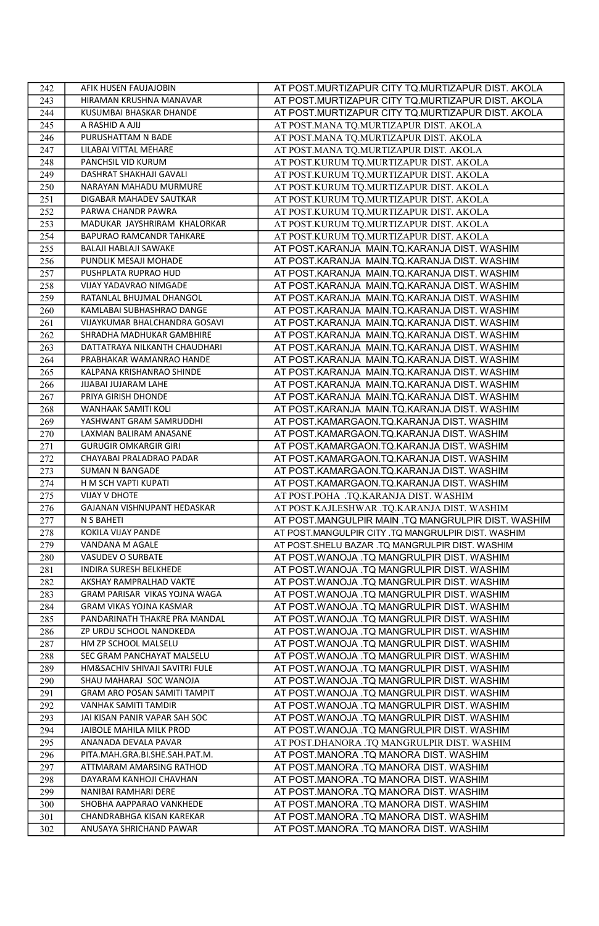| 242 | AFIK HUSEN FAUJAJOBIN          | AT POST.MURTIZAPUR CITY TQ.MURTIZAPUR DIST. AKOLA  |
|-----|--------------------------------|----------------------------------------------------|
| 243 | HIRAMAN KRUSHNA MANAVAR        | AT POST.MURTIZAPUR CITY TQ.MURTIZAPUR DIST. AKOLA  |
| 244 | KUSUMBAI BHASKAR DHANDE        | AT POST.MURTIZAPUR CITY TQ.MURTIZAPUR DIST. AKOLA  |
| 245 | A RASHID A AJIJ                | AT POST.MANA TO.MURTIZAPUR DIST. AKOLA             |
| 246 | PURUSHATTAM N BADE             | AT POST.MANA TO.MURTIZAPUR DIST. AKOLA             |
| 247 | LILABAI VITTAL MEHARE          | AT POST.MANA TQ.MURTIZAPUR DIST. AKOLA             |
| 248 | PANCHSIL VID KURUM             | AT POST.KURUM TQ.MURTIZAPUR DIST. AKOLA            |
| 249 | DASHRAT SHAKHAJI GAVALI        | AT POST.KURUM TQ.MURTIZAPUR DIST. AKOLA            |
| 250 | NARAYAN MAHADU MURMURE         | AT POST.KURUM TO.MURTIZAPUR DIST. AKOLA            |
| 251 | DIGABAR MAHADEV SAUTKAR        | AT POST.KURUM TQ.MURTIZAPUR DIST. AKOLA            |
| 252 | PARWA CHANDR PAWRA             | AT POST.KURUM TQ.MURTIZAPUR DIST. AKOLA            |
| 253 | MADUKAR JAYSHRIRAM KHALORKAR   | AT POST.KURUM TQ.MURTIZAPUR DIST. AKOLA            |
| 254 | BAPURAO RAMCANDR TAHKARE       | AT POST.KURUM TO.MURTIZAPUR DIST. AKOLA            |
| 255 | BALAJI HABLAJI SAWAKE          | AT POST.KARANJA MAIN.TQ.KARANJA DIST. WASHIM       |
| 256 | PUNDLIK MESAJI MOHADE          | AT POST.KARANJA MAIN.TQ.KARANJA DIST. WASHIM       |
| 257 | PUSHPLATA RUPRAO HUD           | AT POST.KARANJA MAIN.TQ.KARANJA DIST. WASHIM       |
| 258 | VIJAY YADAVRAO NIMGADE         | AT POST.KARANJA MAIN.TQ.KARANJA DIST. WASHIM       |
| 259 | RATANLAL BHUJMAL DHANGOL       | AT POST.KARANJA MAIN.TQ.KARANJA DIST. WASHIM       |
| 260 | KAMLABAI SUBHASHRAO DANGE      | AT POST.KARANJA MAIN.TQ.KARANJA DIST. WASHIM       |
| 261 | VIJAYKUMAR BHALCHANDRA GOSAVI  | AT POST.KARANJA MAIN.TQ.KARANJA DIST. WASHIM       |
| 262 | SHRADHA MADHUKAR GAMBHIRE      | AT POST.KARANJA MAIN.TQ.KARANJA DIST. WASHIM       |
| 263 | DATTATRAYA NILKANTH CHAUDHARI  | AT POST.KARANJA MAIN.TQ.KARANJA DIST. WASHIM       |
| 264 | PRABHAKAR WAMANRAO HANDE       | AT POST.KARANJA MAIN.TQ.KARANJA DIST. WASHIM       |
| 265 | KALPANA KRISHANRAO SHINDE      | AT POST.KARANJA MAIN.TQ.KARANJA DIST. WASHIM       |
| 266 | JIJABAI JUJARAM LAHE           | AT POST.KARANJA MAIN.TQ.KARANJA DIST. WASHIM       |
| 267 | PRIYA GIRISH DHONDE            | AT POST.KARANJA MAIN.TQ.KARANJA DIST. WASHIM       |
| 268 | WANHAAK SAMITI KOLI            | AT POST.KARANJA MAIN.TQ.KARANJA DIST. WASHIM       |
| 269 | YASHWANT GRAM SAMRUDDHI        | AT POST.KAMARGAON.TQ.KARANJA DIST. WASHIM          |
| 270 | LAXMAN BALIRAM ANASANE         | AT POST.KAMARGAON.TQ.KARANJA DIST. WASHIM          |
| 271 | <b>GURUGIR OMKARGIR GIRI</b>   | AT POST.KAMARGAON.TQ.KARANJA DIST. WASHIM          |
| 272 | CHAYABAI PRALADRAO PADAR       | AT POST.KAMARGAON.TQ.KARANJA DIST. WASHIM          |
| 273 | <b>SUMAN N BANGADE</b>         | AT POST.KAMARGAON.TQ.KARANJA DIST. WASHIM          |
| 274 | H M SCH VAPTI KUPATI           | AT POST.KAMARGAON.TQ.KARANJA DIST. WASHIM          |
| 275 | <b>VIJAY V DHOTE</b>           | AT POST.POHA .TQ.KARANJA DIST. WASHIM              |
| 276 | GAJANAN VISHNUPANT HEDASKAR    | AT POST.KAJLESHWAR .TQ.KARANJA DIST. WASHIM        |
| 277 | N S BAHETI                     | AT POST.MANGULPIR MAIN .TQ MANGRULPIR DIST. WASHIM |
| 278 | <b>KOKILA VIJAY PANDE</b>      | AT POST.MANGULPIR CITY .TQ MANGRULPIR DIST. WASHIM |
| 279 | VANDANA M AGALE                | AT POST.SHELU BAZAR .TQ MANGRULPIR DIST. WASHIM    |
| 280 | VASUDEV O SURBATE              | AT POST.WANOJA .TQ MANGRULPIR DIST. WASHIM         |
| 281 | INDIRA SURESH BELKHEDE         | AT POST.WANOJA .TQ MANGRULPIR DIST. WASHIM         |
| 282 | AKSHAY RAMPRALHAD VAKTE        | AT POST.WANOJA .TQ MANGRULPIR DIST. WASHIM         |
| 283 | GRAM PARISAR VIKAS YOJNA WAGA  | AT POST.WANOJA .TQ MANGRULPIR DIST. WASHIM         |
| 284 | GRAM VIKAS YOJNA KASMAR        | AT POST.WANOJA .TQ MANGRULPIR DIST. WASHIM         |
| 285 | PANDARINATH THAKRE PRA MANDAL  | AT POST.WANOJA .TQ MANGRULPIR DIST. WASHIM         |
| 286 | ZP URDU SCHOOL NANDKEDA        | AT POST.WANOJA .TQ MANGRULPIR DIST. WASHIM         |
| 287 | HM ZP SCHOOL MALSELU           | AT POST.WANOJA .TQ MANGRULPIR DIST. WASHIM         |
| 288 | SEC GRAM PANCHAYAT MALSELU     | AT POST.WANOJA .TQ MANGRULPIR DIST. WASHIM         |
| 289 | HM&SACHIV SHIVAJI SAVITRI FULE | AT POST.WANOJA .TQ MANGRULPIR DIST. WASHIM         |
| 290 | SHAU MAHARAJ SOC WANOJA        | AT POST.WANOJA .TQ MANGRULPIR DIST. WASHIM         |
| 291 | GRAM ARO POSAN SAMITI TAMPIT   | AT POST.WANOJA .TQ MANGRULPIR DIST. WASHIM         |
| 292 | VANHAK SAMITI TAMDIR           | AT POST.WANOJA .TQ MANGRULPIR DIST. WASHIM         |
| 293 | JAI KISAN PANIR VAPAR SAH SOC  | AT POST.WANOJA .TQ MANGRULPIR DIST. WASHIM         |
| 294 | JAIBOLE MAHILA MILK PROD       | AT POST.WANOJA .TQ MANGRULPIR DIST. WASHIM         |
| 295 | ANANADA DEVALA PAVAR           | AT POST.DHANORA .TQ MANGRULPIR DIST. WASHIM        |
| 296 | PITA.MAH.GRA.BI.SHE.SAH.PAT.M. | AT POST.MANORA .TQ MANORA DIST. WASHIM             |
| 297 | ATTMARAM AMARSING RATHOD       | AT POST.MANORA .TQ MANORA DIST. WASHIM             |
| 298 | DAYARAM KANHOJI CHAVHAN        | AT POST.MANORA .TQ MANORA DIST. WASHIM             |
| 299 | NANIBAI RAMHARI DERE           | AT POST.MANORA .TQ MANORA DIST. WASHIM             |
| 300 | SHOBHA AAPPARAO VANKHEDE       | AT POST.MANORA .TQ MANORA DIST. WASHIM             |
| 301 | CHANDRABHGA KISAN KAREKAR      | AT POST.MANORA .TQ MANORA DIST. WASHIM             |
| 302 | ANUSAYA SHRICHAND PAWAR        | AT POST.MANORA .TQ MANORA DIST. WASHIM             |
|     |                                |                                                    |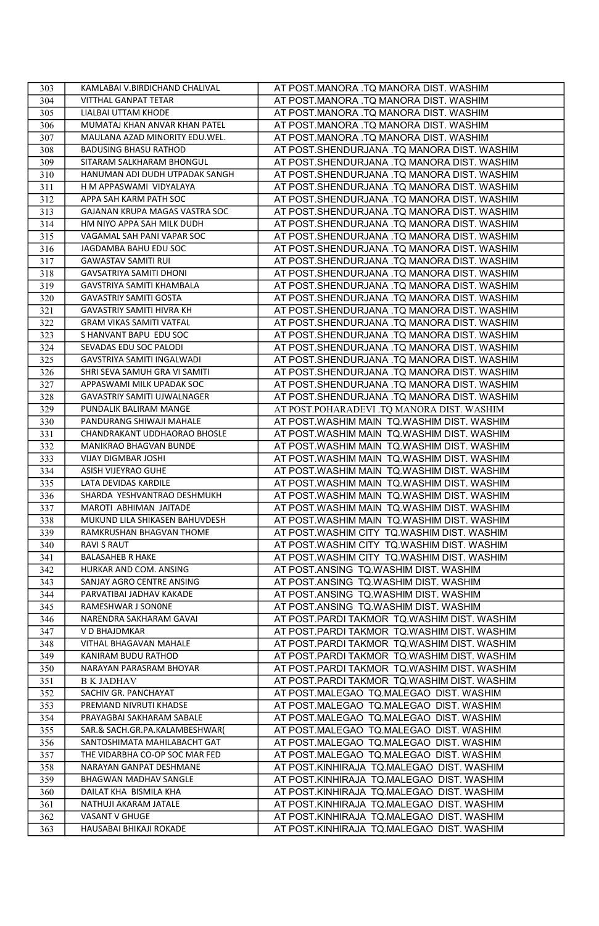| 303 | KAMLABAI V.BIRDICHAND CHALIVAL  | AT POST.MANORA .TQ MANORA DIST. WASHIM      |
|-----|---------------------------------|---------------------------------------------|
| 304 | VITTHAL GANPAT TETAR            | AT POST.MANORA .TQ MANORA DIST. WASHIM      |
| 305 | LIALBAI UTTAM KHODE             | AT POST.MANORA .TQ MANORA DIST. WASHIM      |
| 306 | MUMATAJ KHAN ANVAR KHAN PATEL   | AT POST.MANORA .TQ MANORA DIST. WASHIM      |
| 307 | MAULANA AZAD MINORITY EDU.WEL.  | AT POST.MANORA .TQ MANORA DIST. WASHIM      |
| 308 | <b>BADUSING BHASU RATHOD</b>    | AT POST.SHENDURJANA .TQ MANORA DIST. WASHIM |
| 309 | SITARAM SALKHARAM BHONGUL       | AT POST.SHENDURJANA .TQ MANORA DIST. WASHIM |
| 310 | HANUMAN ADI DUDH UTPADAK SANGH  | AT POST.SHENDURJANA .TQ MANORA DIST. WASHIM |
| 311 | H M APPASWAMI VIDYALAYA         | AT POST.SHENDURJANA .TQ MANORA DIST. WASHIM |
| 312 | APPA SAH KARM PATH SOC          | AT POST.SHENDURJANA .TQ MANORA DIST. WASHIM |
| 313 | GAJANAN KRUPA MAGAS VASTRA SOC  | AT POST.SHENDURJANA .TQ MANORA DIST. WASHIM |
| 314 | HM NIYO APPA SAH MILK DUDH      | AT POST.SHENDURJANA .TQ MANORA DIST. WASHIM |
| 315 | VAGAMAL SAH PANI VAPAR SOC      | AT POST.SHENDURJANA .TQ MANORA DIST. WASHIM |
| 316 | JAGDAMBA BAHU EDU SOC           | AT POST.SHENDURJANA .TQ MANORA DIST. WASHIM |
| 317 | <b>GAWASTAV SAMITI RUI</b>      | AT POST.SHENDURJANA .TQ MANORA DIST. WASHIM |
| 318 | <b>GAVSATRIYA SAMITI DHONI</b>  | AT POST.SHENDURJANA .TQ MANORA DIST. WASHIM |
| 319 | GAVSTRIYA SAMITI KHAMBALA       | AT POST.SHENDURJANA .TQ MANORA DIST. WASHIM |
| 320 | <b>GAVASTRIY SAMITI GOSTA</b>   | AT POST.SHENDURJANA .TQ MANORA DIST. WASHIM |
| 321 | GAVASTRIY SAMITI HIVRA KH       | AT POST.SHENDURJANA .TQ MANORA DIST. WASHIM |
| 322 | <b>GRAM VIKAS SAMITI VATFAL</b> | AT POST.SHENDURJANA .TQ MANORA DIST. WASHIM |
| 323 | S HANVANT BAPU EDU SOC          | AT POST.SHENDURJANA .TQ MANORA DIST. WASHIM |
| 324 | SEVADAS EDU SOC PALODI          | AT POST.SHENDURJANA .TQ MANORA DIST. WASHIM |
| 325 | GAVSTRIYA SAMITI INGALWADI      | AT POST.SHENDURJANA .TQ MANORA DIST. WASHIM |
| 326 | SHRI SEVA SAMUH GRA VI SAMITI   | AT POST.SHENDURJANA .TQ MANORA DIST. WASHIM |
| 327 | APPASWAMI MILK UPADAK SOC       | AT POST.SHENDURJANA .TQ MANORA DIST. WASHIM |
| 328 | GAVASTRIY SAMITI UJWALNAGER     | AT POST.SHENDURJANA .TQ MANORA DIST. WASHIM |
| 329 | PUNDALIK BALIRAM MANGE          | AT POST.POHARADEVI .TQ MANORA DIST. WASHIM  |
| 330 | PANDURANG SHIWAJI MAHALE        | AT POST.WASHIM MAIN TQ.WASHIM DIST. WASHIM  |
| 331 | CHANDRAKANT UDDHAORAO BHOSLE    | AT POST.WASHIM MAIN TQ.WASHIM DIST. WASHIM  |
| 332 | MANIKRAO BHAGVAN BUNDE          | AT POST.WASHIM MAIN TO.WASHIM DIST. WASHIM  |
| 333 | VIJAY DIGMBAR JOSHI             | AT POST.WASHIM MAIN TQ.WASHIM DIST. WASHIM  |
| 334 | ASISH VIJEYRAO GUHE             | AT POST.WASHIM MAIN TQ.WASHIM DIST. WASHIM  |
| 335 | LATA DEVIDAS KARDILE            | AT POST.WASHIM MAIN TQ.WASHIM DIST. WASHIM  |
| 336 | SHARDA YESHVANTRAO DESHMUKH     | AT POST.WASHIM MAIN TQ.WASHIM DIST. WASHIM  |
| 337 | MAROTI ABHIMAN JAITADE          | AT POST.WASHIM MAIN TQ.WASHIM DIST. WASHIM  |
| 338 | MUKUND LILA SHIKASEN BAHUVDESH  | AT POST.WASHIM MAIN TQ.WASHIM DIST. WASHIM  |
| 339 | RAMKRUSHAN BHAGVAN THOME        | AT POST.WASHIM CITY TQ.WASHIM DIST. WASHIM  |
| 340 | <b>RAVI S RAUT</b>              | AT POST.WASHIM CITY TQ.WASHIM DIST. WASHIM  |
| 341 | <b>BALASAHEB R HAKE</b>         | AT POST.WASHIM CITY TQ.WASHIM DIST. WASHIM  |
| 342 | HURKAR AND COM. ANSING          | AT POST.ANSING TQ.WASHIM DIST. WASHIM       |
| 343 | SANJAY AGRO CENTRE ANSING       | AT POST.ANSING TQ.WASHIM DIST. WASHIM       |
| 344 | PARVATIBAI JADHAV KAKADE        | AT POST.ANSING TQ.WASHIM DIST. WASHIM       |
| 345 | RAMESHWAR J SONONE              | AT POST.ANSING TQ.WASHIM DIST. WASHIM       |
| 346 | NARENDRA SAKHARAM GAVAI         | AT POST.PARDI TAKMOR TQ.WASHIM DIST. WASHIM |
| 347 | V D BHAJDMKAR                   | AT POST.PARDI TAKMOR TQ.WASHIM DIST. WASHIM |
| 348 | VITHAL BHAGAVAN MAHALE          | AT POST.PARDI TAKMOR TQ.WASHIM DIST. WASHIM |
| 349 | KANIRAM BUDU RATHOD             | AT POST.PARDI TAKMOR TQ.WASHIM DIST. WASHIM |
| 350 | NARAYAN PARASRAM BHOYAR         | AT POST.PARDI TAKMOR TQ.WASHIM DIST. WASHIM |
| 351 | <b>B K JADHAV</b>               | AT POST.PARDI TAKMOR TQ.WASHIM DIST. WASHIM |
| 352 | SACHIV GR. PANCHAYAT            | AT POST.MALEGAO TQ.MALEGAO DIST. WASHIM     |
| 353 | PREMAND NIVRUTI KHADSE          | AT POST.MALEGAO TQ.MALEGAO DIST. WASHIM     |
| 354 | PRAYAGBAI SAKHARAM SABALE       | AT POST.MALEGAO TQ.MALEGAO DIST. WASHIM     |
| 355 | SAR.& SACH.GR.PA.KALAMBESHWAR(  | AT POST.MALEGAO TQ.MALEGAO DIST. WASHIM     |
| 356 | SANTOSHIMATA MAHILABACHT GAT    | AT POST.MALEGAO TQ.MALEGAO DIST. WASHIM     |
| 357 | THE VIDARBHA CO-OP SOC MAR FED  | AT POST.MALEGAO TQ.MALEGAO DIST. WASHIM     |
| 358 | NARAYAN GANPAT DESHMANE         | AT POST.KINHIRAJA TQ.MALEGAO DIST. WASHIM   |
| 359 | BHAGWAN MADHAV SANGLE           | AT POST.KINHIRAJA TQ.MALEGAO DIST. WASHIM   |
| 360 | DAILAT KHA BISMILA KHA          | AT POST.KINHIRAJA TQ.MALEGAO DIST. WASHIM   |
| 361 | NATHUJI AKARAM JATALE           | AT POST.KINHIRAJA TQ.MALEGAO DIST. WASHIM   |
| 362 | VASANT V GHUGE                  | AT POST.KINHIRAJA TQ.MALEGAO DIST. WASHIM   |
| 363 | HAUSABAI BHIKAJI ROKADE         | AT POST.KINHIRAJA TQ.MALEGAO DIST. WASHIM   |